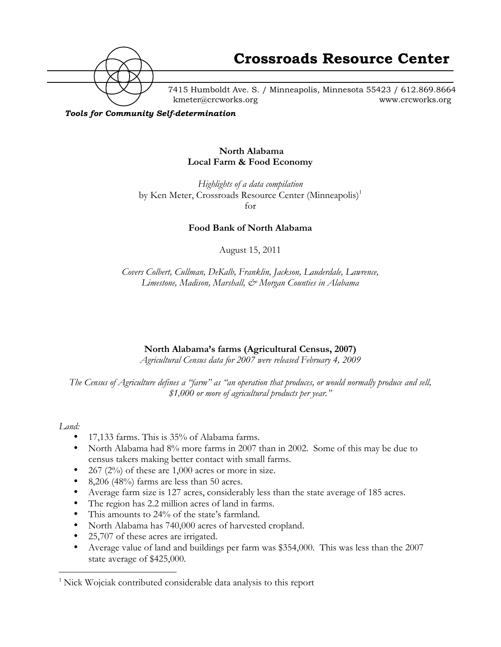

7415 Humboldt Ave. S. / Minneapolis, Minnesota 55423 / 612.869.8664 kmeter@crcworks.org www.crcworks.org

*Tools for Community Self-determination*

#### **North Alabama Local Farm & Food Economy**

*Highlights of a data compilation* by Ken Meter, Crossroads Resource Center (Minneapolis)<sup>1</sup> for

**Food Bank of North Alabama**

August 15, 2011

*Covers Colbert, Cullman, DeKalb, Franklin, Jackson, Lauderdale, Lawrence, Limestone, Madison, Marshall, & Morgan Counties in Alabama*

# **North Alabama's farms (Agricultural Census, 2007)**

*Agricultural Census data for 2007 were released February 4, 2009*

*The Census of Agriculture defines a "farm" as "an operation that produces, or would normally produce and sell, \$1,000 or more of agricultural products per year."*

#### *Land:*

- 17,133 farms. This is 35% of Alabama farms.
- North Alabama had 8% more farms in 2007 than in 2002. Some of this may be due to census takers making better contact with small farms.
- 267 (2%) of these are 1,000 acres or more in size.
- 8,206 (48%) farms are less than 50 acres.
- Average farm size is 127 acres, considerably less than the state average of 185 acres.
- The region has 2.2 million acres of land in farms.
- This amounts to 24% of the state's farmland.
- North Alabama has 740,000 acres of harvested cropland.
- 25,707 of these acres are irrigated.
- Average value of land and buildings per farm was \$354,000. This was less than the 2007 state average of \$425,000.

 $\frac{1}{1}$ <sup>1</sup> Nick Wojciak contributed considerable data analysis to this report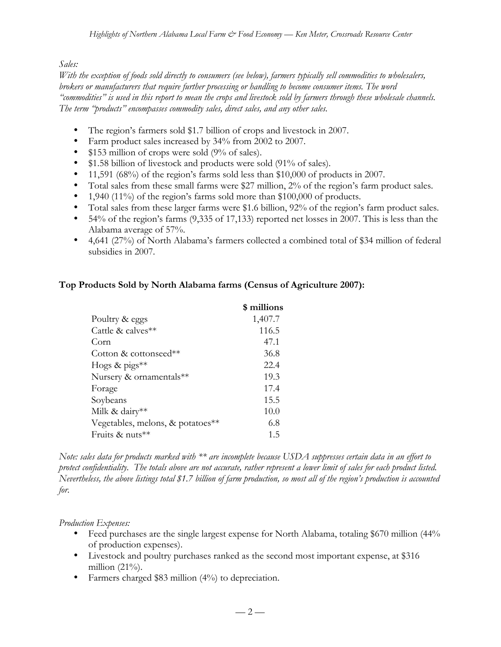### *Sales:*

*With the exception of foods sold directly to consumers (see below), farmers typically sell commodities to wholesalers, brokers or manufacturers that require further processing or handling to become consumer items. The word "commodities" is used in this report to mean the crops and livestock sold by farmers through these wholesale channels. The term "products" encompasses commodity sales, direct sales, and any other sales.*

- The region's farmers sold \$1.7 billion of crops and livestock in 2007.
- Farm product sales increased by 34% from 2002 to 2007.
- \$153 million of crops were sold (9% of sales).
- \$1.58 billion of livestock and products were sold (91% of sales).
- 11,591 (68%) of the region's farms sold less than \$10,000 of products in 2007.
- Total sales from these small farms were \$27 million, 2% of the region's farm product sales.
- 1,940 (11%) of the region's farms sold more than \$100,000 of products.
- Total sales from these larger farms were \$1.6 billion, 92% of the region's farm product sales.
- 54% of the region's farms (9,335 of 17,133) reported net losses in 2007. This is less than the Alabama average of 57%.
- 4,641 (27%) of North Alabama's farmers collected a combined total of \$34 million of federal subsidies in 2007.

# **Top Products Sold by North Alabama farms (Census of Agriculture 2007):**

|                                  | \$ millions |
|----------------------------------|-------------|
| Poultry & eggs                   | 1,407.7     |
| Cattle & calves**                | 116.5       |
| Corn                             | 47.1        |
| Cotton & cottonseed**            | 36.8        |
| Hogs & pigs $**$                 | 22.4        |
| Nursery & ornamentals**          | 19.3        |
| Forage                           | 17.4        |
| Soybeans                         | 15.5        |
| Milk & dairy**                   | 10.0        |
| Vegetables, melons, & potatoes** | 6.8         |
| Fruits & nuts $**$               | 1.5         |

*Note: sales data for products marked with \*\* are incomplete because USDA suppresses certain data in an effort to protect confidentiality. The totals above are not accurate, rather represent a lower limit of sales for each product listed. Nevertheless, the above listings total \$1.7 billion of farm production, so most all of the region's production is accounted for.*

#### *Production Expenses:*

- Feed purchases are the single largest expense for North Alabama, totaling \$670 million (44%) of production expenses).
- Livestock and poultry purchases ranked as the second most important expense, at \$316 million  $(21\%)$ .
- Farmers charged \$83 million (4%) to depreciation.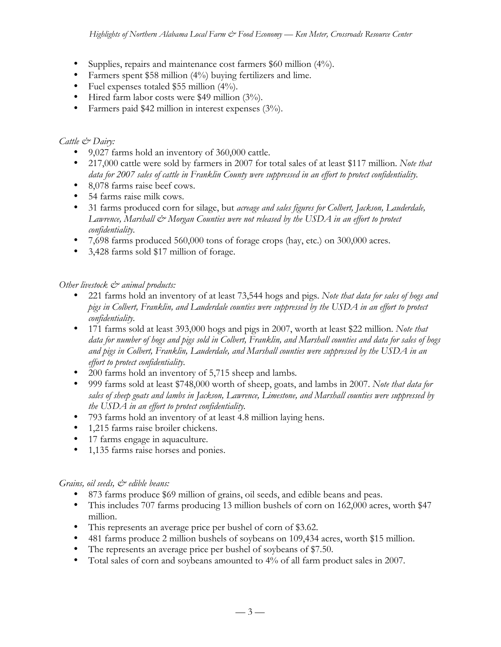- Supplies, repairs and maintenance cost farmers \$60 million (4%).
- Farmers spent \$58 million (4%) buying fertilizers and lime.
- Fuel expenses totaled \$55 million  $(4\%)$ .
- Hired farm labor costs were \$49 million (3%).
- Farmers paid \$42 million in interest expenses (3%).

#### *Cattle & Dairy:*

- 9,027 farms hold an inventory of 360,000 cattle.
- 217,000 cattle were sold by farmers in 2007 for total sales of at least \$117 million. *Note that data for 2007 sales of cattle in Franklin County were suppressed in an effort to protect confidentiality.*
- 8,078 farms raise beef cows.
- 54 farms raise milk cows.
- 31 farms produced corn for silage, but *acreage and sales figures for Colbert, Jackson, Lauderdale,* Lawrence, Marshall  $\mathcal{O}$  Morgan Counties were not released by the USDA in an effort to protect *confidentiality.*
- 7,698 farms produced 560,000 tons of forage crops (hay, etc.) on 300,000 acres.
- 3,428 farms sold \$17 million of forage.

#### *Other livestock & animal products:*

- 221 farms hold an inventory of at least 73,544 hogs and pigs. *Note that data for sales of hogs and pigs in Colbert, Franklin, and Lauderdale counties were suppressed by the USDA in an effort to protect confidentiality.*
- 171 farms sold at least 393,000 hogs and pigs in 2007, worth at least \$22 million. *Note that data for number of hogs and pigs sold in Colbert, Franklin, and Marshall counties and data for sales of hogs and pigs in Colbert, Franklin, Lauderdale, and Marshall counties were suppressed by the USDA in an effort to protect confidentiality.*
- 200 farms hold an inventory of 5,715 sheep and lambs*.*
- 999 farms sold at least \$748,000 worth of sheep, goats, and lambs in 2007. *Note that data for sales of sheep goats and lambs in Jackson, Lawrence, Limestone, and Marshall counties were suppressed by the USDA in an effort to protect confidentiality.*
- 793 farms hold an inventory of at least 4.8 million laying hens.
- 1,215 farms raise broiler chickens.
- 17 farms engage in aquaculture.
- 1,135 farms raise horses and ponies.

#### *Grains, oil seeds,*  $\mathcal{O}$  *edible beans:*

- 873 farms produce \$69 million of grains, oil seeds, and edible beans and peas.
- This includes 707 farms producing 13 million bushels of corn on 162,000 acres, worth \$47 million.
- This represents an average price per bushel of corn of \$3.62.
- 481 farms produce 2 million bushels of soybeans on 109,434 acres, worth \$15 million.
- The represents an average price per bushel of soybeans of \$7.50.
- Total sales of corn and soybeans amounted to 4% of all farm product sales in 2007.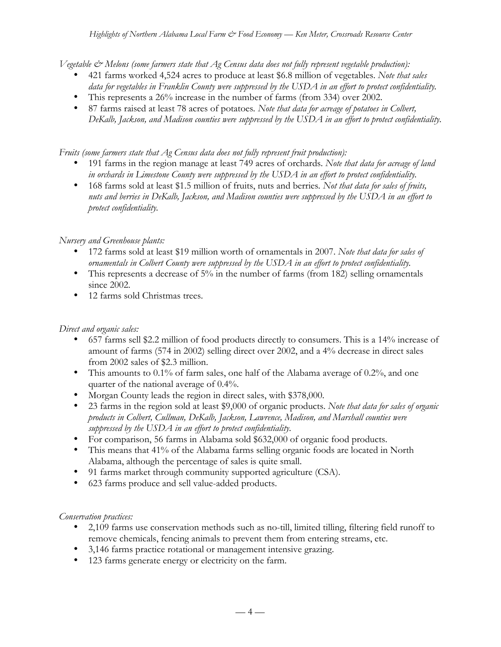*Vegetable & Melons (some farmers state that Ag Census data does not fully represent vegetable production):*

- 421 farms worked 4,524 acres to produce at least \$6.8 million of vegetables. *Note that sales data for vegetables in Franklin County were suppressed by the USDA in an effort to protect confidentiality.*
- This represents a 26% increase in the number of farms (from 334) over 2002.
- 87 farms raised at least 78 acres of potatoes*. Note that data for acreage of potatoes in Colbert, DeKalb, Jackson, and Madison counties were suppressed by the USDA in an effort to protect confidentiality.*

*Fruits (some farmers state that Ag Census data does not fully represent fruit production):*

- 191 farms in the region manage at least 749 acres of orchards. *Note that data for acreage of land in orchards in Limestone County were suppressed by the USDA in an effort to protect confidentiality.*
- 168 farms sold at least \$1.5 million of fruits, nuts and berries*. Not that data for sales of fruits, nuts and berries in DeKalb, Jackson, and Madison counties were suppressed by the USDA in an effort to protect confidentiality.*

# *Nursery and Greenhouse plants:*

- 172 farms sold at least \$19 million worth of ornamentals in 2007. *Note that data for sales of ornamentals in Colbert County were suppressed by the USDA in an effort to protect confidentiality.*
- This represents a decrease of 5% in the number of farms (from 182) selling ornamentals since 2002.
- 12 farms sold Christmas trees.

# *Direct and organic sales:*

- 657 farms sell \$2.2 million of food products directly to consumers. This is a 14% increase of amount of farms (574 in 2002) selling direct over 2002, and a 4% decrease in direct sales from 2002 sales of \$2.3 million.
- This amounts to 0.1% of farm sales, one half of the Alabama average of 0.2%, and one quarter of the national average of 0.4%.
- Morgan County leads the region in direct sales, with \$378,000.
- 23 farms in the region sold at least \$9,000 of organic products. *Note that data for sales of organic products in Colbert, Cullman, DeKalb, Jackson, Lawrence, Madison, and Marshall counties were suppressed by the USDA in an effort to protect confidentiality.*
- For comparison, 56 farms in Alabama sold \$632,000 of organic food products.
- This means that 41% of the Alabama farms selling organic foods are located in North Alabama, although the percentage of sales is quite small.
- 91 farms market through community supported agriculture (CSA).
- 623 farms produce and sell value-added products.

# *Conservation practices:*

- 2,109 farms use conservation methods such as no-till, limited tilling, filtering field runoff to remove chemicals, fencing animals to prevent them from entering streams, etc.
- 3,146 farms practice rotational or management intensive grazing.
- 123 farms generate energy or electricity on the farm.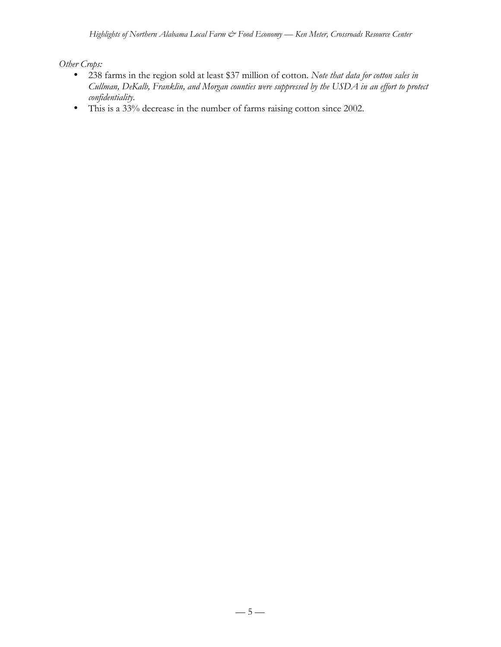*Other Crops:*

- 238 farms in the region sold at least \$37 million of cotton. *Note that data for cotton sales in Cullman, DeKalb, Franklin, and Morgan counties were suppressed by the USDA in an effort to protect confidentiality.*
- This is a 33% decrease in the number of farms raising cotton since 2002.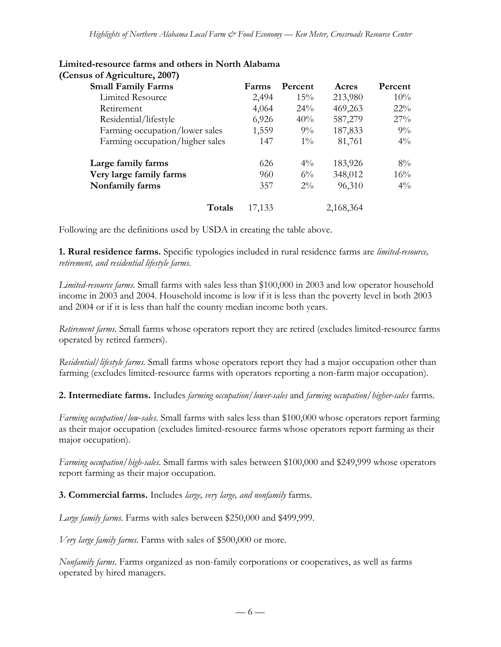| Farms  | Percent | Acres     | Percent |
|--------|---------|-----------|---------|
| 2,494  | 15%     | 213,980   | 10%     |
| 4,064  | 24%     | 469,263   | $22\%$  |
| 6,926  | 40%     | 587,279   | 27%     |
| 1,559  | $9\%$   | 187,833   | 9%      |
| 147    | $1\%$   | 81,761    | $4\%$   |
| 626    | $4\%$   | 183,926   | 8%      |
| 960    | $6\%$   | 348,012   | 16%     |
| 357    | $2\%$   | 96,310    | $4\%$   |
| 17,133 |         | 2,168,364 |         |
|        |         |           |         |

#### **Limited-resource farms and others in North Alabama (Census of Agriculture, 2007)**

Following are the definitions used by USDA in creating the table above.

**1. Rural residence farms.** Specific typologies included in rural residence farms are *limited-resource, retirement, and residential lifestyle farms.*

*Limited-resource farms.* Small farms with sales less than \$100,000 in 2003 and low operator household income in 2003 and 2004. Household income is low if it is less than the poverty level in both 2003 and 2004 or if it is less than half the county median income both years.

*Retirement farms.* Small farms whose operators report they are retired (excludes limited-resource farms operated by retired farmers).

*Residential/lifestyle farms.* Small farms whose operators report they had a major occupation other than farming (excludes limited-resource farms with operators reporting a non-farm major occupation).

**2. Intermediate farms.** Includes *farming occupation/lower-sales* and *farming occupation/higher-sales* farms.

*Farming occupation/low-sales.* Small farms with sales less than \$100,000 whose operators report farming as their major occupation (excludes limited-resource farms whose operators report farming as their major occupation).

*Farming occupation/high-sales*. Small farms with sales between \$100,000 and \$249,999 whose operators report farming as their major occupation.

**3. Commercial farms.** Includes *large, very large, and nonfamily* farms.

*Large family farms.* Farms with sales between \$250,000 and \$499,999.

*Very large family farms.* Farms with sales of \$500,000 or more.

*Nonfamily farms*. Farms organized as non-family corporations or cooperatives, as well as farms operated by hired managers.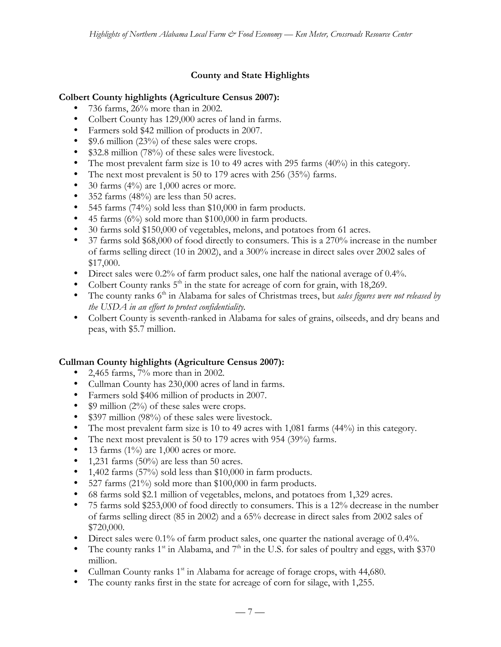# **County and State Highlights**

### **Colbert County highlights (Agriculture Census 2007):**

- 736 farms, 26% more than in 2002.
- Colbert County has 129,000 acres of land in farms.
- Farmers sold \$42 million of products in 2007.
- \$9.6 million (23%) of these sales were crops.
- \$32.8 million (78%) of these sales were livestock.
- The most prevalent farm size is 10 to 49 acres with 295 farms (40%) in this category.
- The next most prevalent is 50 to 179 acres with 256 (35%) farms.
- 30 farms  $(4\%)$  are 1,000 acres or more.
- 352 farms (48%) are less than 50 acres.
- 545 farms (74%) sold less than \$10,000 in farm products.
- 45 farms (6%) sold more than \$100,000 in farm products.
- 30 farms sold \$150,000 of vegetables, melons, and potatoes from 61 acres.
- 37 farms sold \$68,000 of food directly to consumers. This is a 270% increase in the number of farms selling direct (10 in 2002), and a 300% increase in direct sales over 2002 sales of \$17,000.
- Direct sales were 0.2% of farm product sales, one half the national average of 0.4%.
- Colbert County ranks  $5<sup>th</sup>$  in the state for acreage of corn for grain, with 18,269.
- The county ranks 6<sup>th</sup> in Alabama for sales of Christmas trees, but *sales figures were not released by the USDA in an effort to protect confidentiality.*
- Colbert County is seventh-ranked in Alabama for sales of grains, oilseeds, and dry beans and peas, with \$5.7 million.

# **Cullman County highlights (Agriculture Census 2007):**

- 2,465 farms,  $7\%$  more than in 2002.
- Cullman County has 230,000 acres of land in farms.
- Farmers sold \$406 million of products in 2007.
- \$9 million (2%) of these sales were crops.
- \$397 million (98%) of these sales were livestock.
- The most prevalent farm size is 10 to 49 acres with 1,081 farms (44%) in this category.
- The next most prevalent is 50 to 179 acres with 954 (39%) farms.
- 13 farms  $(1\%)$  are 1,000 acres or more.
- 1,231 farms  $(50\%)$  are less than 50 acres.
- 1,402 farms (57%) sold less than \$10,000 in farm products.
- 527 farms (21%) sold more than \$100,000 in farm products.
- 68 farms sold \$2.1 million of vegetables, melons, and potatoes from 1,329 acres.
- 75 farms sold \$253,000 of food directly to consumers. This is a 12% decrease in the number of farms selling direct (85 in 2002) and a 65% decrease in direct sales from 2002 sales of \$720,000.
- Direct sales were 0.1% of farm product sales, one quarter the national average of 0.4%.
- The county ranks  $1^{st}$  in Alabama, and  $7^{th}$  in the U.S. for sales of poultry and eggs, with \$370 million.
- Cullman County ranks  $1<sup>st</sup>$  in Alabama for acreage of forage crops, with 44,680.
- The county ranks first in the state for acreage of corn for silage, with 1,255.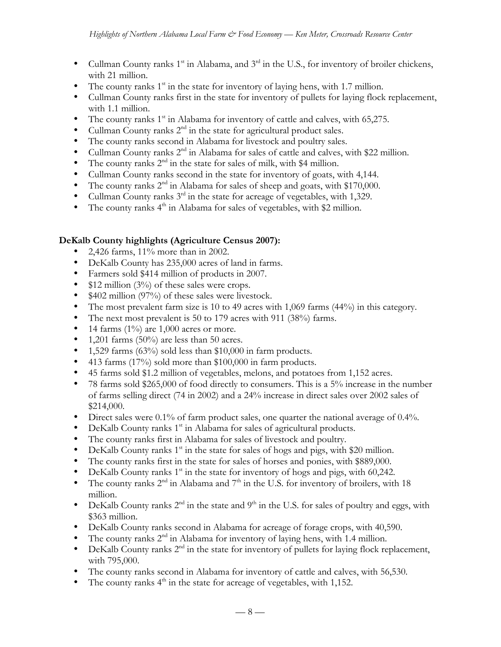- Cullman County ranks  $1<sup>st</sup>$  in Alabama, and  $3<sup>rd</sup>$  in the U.S., for inventory of broiler chickens, with 21 million.
- The county ranks  $1<sup>st</sup>$  in the state for inventory of laying hens, with 1.7 million.
- Cullman County ranks first in the state for inventory of pullets for laying flock replacement, with 1.1 million.
- The county ranks  $1<sup>st</sup>$  in Alabama for inventory of cattle and calves, with 65,275.
- Cullman County ranks  $2<sup>nd</sup>$  in the state for agricultural product sales.
- The county ranks second in Alabama for livestock and poultry sales.
- Cullman County ranks  $2^{nd}$  in Alabama for sales of cattle and calves, with \$22 million.
- The county ranks  $2<sup>nd</sup>$  in the state for sales of milk, with \$4 million.
- Cullman County ranks second in the state for inventory of goats, with 4,144.
- The county ranks  $2^{nd}$  in Alabama for sales of sheep and goats, with \$170,000.
- Cullman County ranks  $3^{rd}$  in the state for acreage of vegetables, with 1,329.
- The county ranks 4<sup>th</sup> in Alabama for sales of vegetables, with \$2 million.

### **DeKalb County highlights (Agriculture Census 2007):**

- 2,426 farms, 11% more than in 2002.
- DeKalb County has 235,000 acres of land in farms.
- Farmers sold \$414 million of products in 2007.
- \$12 million (3%) of these sales were crops.
- \$402 million (97%) of these sales were livestock.
- The most prevalent farm size is 10 to 49 acres with 1,069 farms (44%) in this category.
- The next most prevalent is 50 to 179 acres with 911 (38%) farms.
- 14 farms  $(1\%)$  are 1,000 acres or more.
- 1,201 farms  $(50\%)$  are less than 50 acres.
- 1,529 farms (63%) sold less than \$10,000 in farm products.
- 413 farms (17%) sold more than \$100,000 in farm products.
- 45 farms sold \$1.2 million of vegetables, melons, and potatoes from 1,152 acres.
- 78 farms sold \$265,000 of food directly to consumers. This is a 5% increase in the number of farms selling direct (74 in 2002) and a 24% increase in direct sales over 2002 sales of \$214,000.
- Direct sales were 0.1% of farm product sales, one quarter the national average of 0.4%.
- DeKalb County ranks 1<sup>st</sup> in Alabama for sales of agricultural products.
- The county ranks first in Alabama for sales of livestock and poultry.
- DeKalb County ranks  $1<sup>st</sup>$  in the state for sales of hogs and pigs, with \$20 million.
- The county ranks first in the state for sales of horses and ponies, with \$889,000.
- DeKalb County ranks  $1<sup>st</sup>$  in the state for inventory of hogs and pigs, with 60,242.
- The county ranks  $2^{nd}$  in Alabama and  $7^{th}$  in the U.S. for inventory of broilers, with 18 million.
- DeKalb County ranks  $2^{nd}$  in the state and  $9^{th}$  in the U.S. for sales of poultry and eggs, with \$363 million.
- DeKalb County ranks second in Alabama for acreage of forage crops, with 40,590.
- The county ranks 2<sup>nd</sup> in Alabama for inventory of laying hens, with 1.4 million.
- DeKalb County ranks  $2<sup>nd</sup>$  in the state for inventory of pullets for laying flock replacement, with 795,000.
- The county ranks second in Alabama for inventory of cattle and calves, with 56,530.
- The county ranks  $4<sup>th</sup>$  in the state for acreage of vegetables, with 1,152.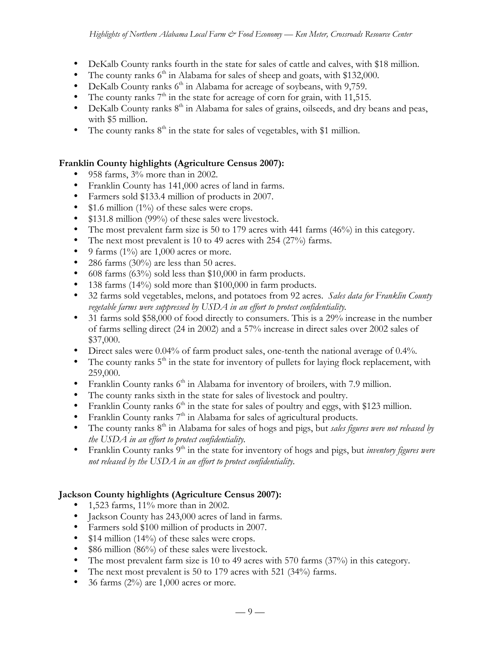- DeKalb County ranks fourth in the state for sales of cattle and calves, with \$18 million.
- The county ranks  $6<sup>th</sup>$  in Alabama for sales of sheep and goats, with \$132,000.
- DeKalb County ranks  $6<sup>th</sup>$  in Alabama for acreage of soybeans, with 9,759.
- The county ranks  $7<sup>th</sup>$  in the state for acreage of corn for grain, with 11,515.
- DeKalb County ranks  $8<sup>th</sup>$  in Alabama for sales of grains, oilseeds, and dry beans and peas, with \$5 million.
- The county ranks  $8<sup>th</sup>$  in the state for sales of vegetables, with \$1 million.

# **Franklin County highlights (Agriculture Census 2007):**

- 958 farms, 3% more than in 2002.
- Franklin County has 141,000 acres of land in farms.
- Farmers sold \$133.4 million of products in 2007.
- \$1.6 million (1%) of these sales were crops.
- \$131.8 million (99%) of these sales were livestock.
- The most prevalent farm size is 50 to 179 acres with 441 farms (46%) in this category.
- The next most prevalent is 10 to 49 acres with 254 (27%) farms.
- 9 farms  $(1\%)$  are 1,000 acres or more.
- 286 farms  $(30\%)$  are less than 50 acres.
- 608 farms (63%) sold less than \$10,000 in farm products.
- 138 farms (14%) sold more than \$100,000 in farm products.
- 32 farms sold vegetables, melons, and potatoes from 92 acres. *Sales data for Franklin County vegetable farms were suppressed by USDA in an effort to protect confidentiality.*
- 31 farms sold \$58,000 of food directly to consumers. This is a 29% increase in the number of farms selling direct (24 in 2002) and a 57% increase in direct sales over 2002 sales of \$37,000.
- Direct sales were 0.04% of farm product sales, one-tenth the national average of 0.4%.
- The county ranks  $5<sup>th</sup>$  in the state for inventory of pullets for laying flock replacement, with 259,000.
- Franklin County ranks  $6<sup>th</sup>$  in Alabama for inventory of broilers, with 7.9 million.
- The county ranks sixth in the state for sales of livestock and poultry.
- Franklin County ranks  $6<sup>th</sup>$  in the state for sales of poultry and eggs, with \$123 million.
- Franklin County ranks  $7<sup>th</sup>$  in Alabama for sales of agricultural products.
- The county ranks 8<sup>th</sup> in Alabama for sales of hogs and pigs, but *sales figures were not released by the USDA in an effort to protect confidentiality.*
- Franklin County ranks 9<sup>th</sup> in the state for inventory of hogs and pigs, but *inventory figures were not released by the USDA in an effort to protect confidentiality.*

# **Jackson County highlights (Agriculture Census 2007):**

- 1,523 farms, 11% more than in 2002.
- Jackson County has 243,000 acres of land in farms.
- Farmers sold \$100 million of products in 2007.
- \$14 million (14%) of these sales were crops.
- \$86 million (86%) of these sales were livestock.
- The most prevalent farm size is 10 to 49 acres with 570 farms (37%) in this category.
- The next most prevalent is 50 to 179 acres with 521 (34%) farms.
- 36 farms  $(2\%)$  are 1,000 acres or more.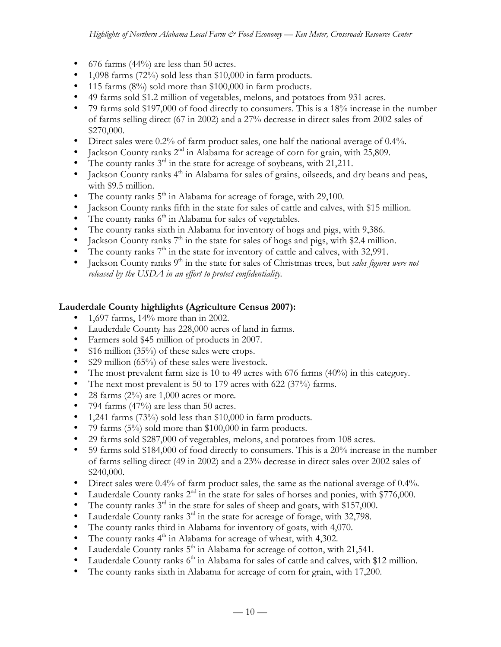- 676 farms  $(44%)$  are less than 50 acres.
- 1,098 farms (72%) sold less than \$10,000 in farm products.
- 115 farms (8%) sold more than \$100,000 in farm products.
- 49 farms sold \$1.2 million of vegetables, melons, and potatoes from 931 acres.
- 79 farms sold \$197,000 of food directly to consumers. This is a 18% increase in the number of farms selling direct (67 in 2002) and a 27% decrease in direct sales from 2002 sales of \$270,000.
- Direct sales were 0.2% of farm product sales, one half the national average of 0.4%.
- Jackson County ranks  $2<sup>nd</sup>$  in Alabama for acreage of corn for grain, with 25,809.
- The county ranks  $3<sup>rd</sup>$  in the state for acreage of soybeans, with 21,211.
- Jackson County ranks  $4<sup>th</sup>$  in Alabama for sales of grains, oilseeds, and dry beans and peas, with \$9.5 million.
- The county ranks  $5<sup>th</sup>$  in Alabama for acreage of forage, with 29,100.
- Jackson County ranks fifth in the state for sales of cattle and calves, with \$15 million.
- The county ranks  $6<sup>th</sup>$  in Alabama for sales of vegetables.
- The county ranks sixth in Alabama for inventory of hogs and pigs, with 9,386.
- Jackson County ranks  $7<sup>th</sup>$  in the state for sales of hogs and pigs, with \$2.4 million.
- The county ranks  $7<sup>th</sup>$  in the state for inventory of cattle and calves, with 32,991.<br>• Iackson County ranks  $9<sup>th</sup>$  in the state for sales of Christmas trees, but *sales figures*
- Jackson County ranks 9<sup>th</sup> in the state for sales of Christmas trees, but *sales figures were not released by the USDA in an effort to protect confidentiality.*

### **Lauderdale County highlights (Agriculture Census 2007):**

- 1,697 farms, 14% more than in 2002.
- Lauderdale County has 228,000 acres of land in farms.
- 
- Farmers sold \$45 million of products in 2007.<br>• \$16 million (35%) of these sales were crops.  $$16$  million (35%) of these sales were crops.
- \$29 million (65%) of these sales were livestock.
- The most prevalent farm size is 10 to 49 acres with 676 farms (40%) in this category.
- The next most prevalent is 50 to 179 acres with 622 (37%) farms.
- 28 farms  $(2\%)$  are 1,000 acres or more.
- 794 farms  $(47%)$  are less than 50 acres.
- 1,241 farms  $(73%)$  sold less than \$10,000 in farm products.
- 79 farms (5%) sold more than \$100,000 in farm products.
- 29 farms sold \$287,000 of vegetables, melons, and potatoes from 108 acres.
- 59 farms sold \$184,000 of food directly to consumers. This is a 20% increase in the number of farms selling direct (49 in 2002) and a 23% decrease in direct sales over 2002 sales of \$240,000.
- Direct sales were 0.4% of farm product sales, the same as the national average of 0.4%.
- Lauderdale County ranks  $2<sup>nd</sup>$  in the state for sales of horses and ponies, with \$776,000.
- The county ranks  $3<sup>rd</sup>$  in the state for sales of sheep and goats, with \$157,000.
- Lauderdale County ranks  $3<sup>rd</sup>$  in the state for acreage of forage, with 32,798.
- The county ranks third in Alabama for inventory of goats, with 4,070.
- The county ranks  $4<sup>th</sup>$  in Alabama for acreage of wheat, with 4,302.
- $\bullet$  Lauderdale County ranks  $5<sup>th</sup>$  in Alabama for acreage of cotton, with 21,541.
- Lauderdale County ranks  $6<sup>th</sup>$  in Alabama for sales of cattle and calves, with \$12 million.
- The county ranks sixth in Alabama for acreage of corn for grain, with 17,200.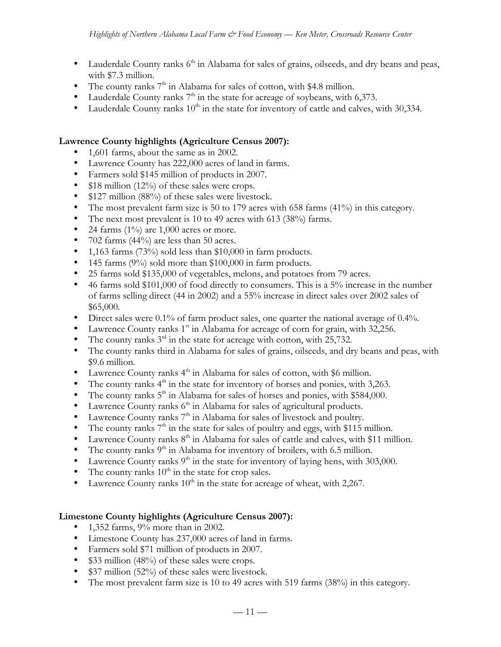- Lauderdale County ranks  $6<sup>th</sup>$  in Alabama for sales of grains, oilseeds, and dry beans and peas, with \$7.3 million.
- The county ranks  $7<sup>th</sup>$  in Alabama for sales of cotton, with \$4.8 million.
- Lauderdale County ranks  $7<sup>th</sup>$  in the state for acreage of soybeans, with 6,373.
- Lauderdale County ranks  $10<sup>th</sup>$  in the state for inventory of cattle and calves, with 30,334.

### **Lawrence County highlights (Agriculture Census 2007):**

- 1,601 farms, about the same as in 2002.
- Lawrence County has 222,000 acres of land in farms.
- Farmers sold \$145 million of products in 2007.
- \$18 million (12%) of these sales were crops.
- \$127 million (88%) of these sales were livestock.
- The most prevalent farm size is 50 to 179 acres with 658 farms (41%) in this category.
- The next most prevalent is 10 to 49 acres with 613 (38%) farms.
- 24 farms  $(1\%)$  are 1,000 acres or more.
- 702 farms (44%) are less than 50 acres.
- 1,163 farms (73%) sold less than \$10,000 in farm products.
- 145 farms (9%) sold more than \$100,000 in farm products.
- 25 farms sold \$135,000 of vegetables, melons, and potatoes from 79 acres.
- 46 farms sold \$101,000 of food directly to consumers. This is a  $5\%$  increase in the number of farms selling direct (44 in 2002) and a 55% increase in direct sales over 2002 sales of \$65,000.
- Direct sales were 0.1% of farm product sales, one quarter the national average of 0.4%.
- Lawrence County ranks  $1<sup>st</sup>$  in Alabama for acreage of corn for grain, with 32,256.
- The county ranks  $3<sup>rd</sup>$  in the state for acreage with cotton, with 25,732.
- The county ranks third in Alabama for sales of grains, oilseeds, and dry beans and peas, with \$9.6 million.
- Lawrence County ranks  $4<sup>th</sup>$  in Alabama for sales of cotton, with \$6 million.
- The county ranks  $4<sup>th</sup>$  in the state for inventory of horses and ponies, with 3,263.
- The county ranks  $5<sup>th</sup>$  in Alabama for sales of horses and ponies, with \$584,000.
- Lawrence County ranks  $6<sup>th</sup>$  in Alabama for sales of agricultural products.
- Lawrence County ranks  $7<sup>th</sup>$  in Alabama for sales of livestock and poultry.
- The county ranks  $7<sup>th</sup>$  in the state for sales of poultry and eggs, with \$115 million.
- Lawrence County ranks  $8<sup>th</sup>$  in Alabama for sales of cattle and calves, with \$11 million.
- The county ranks  $9<sup>th</sup>$  in Alabama for inventory of broilers, with 6.5 million.
- Lawrence County ranks  $9<sup>th</sup>$  in the state for inventory of laying hens, with 303,000.
- The county ranks  $10<sup>th</sup>$  in the state for crop sales.
- Lawrence County ranks  $10<sup>th</sup>$  in the state for acreage of wheat, with 2,267.

# **Limestone County highlights (Agriculture Census 2007):**

- 1,352 farms, 9% more than in 2002.
- Limestone County has 237,000 acres of land in farms.
- Farmers sold \$71 million of products in 2007.
- \$33 million (48%) of these sales were crops.
- \$37 million (52%) of these sales were livestock.
- The most prevalent farm size is 10 to 49 acres with 519 farms (38%) in this category.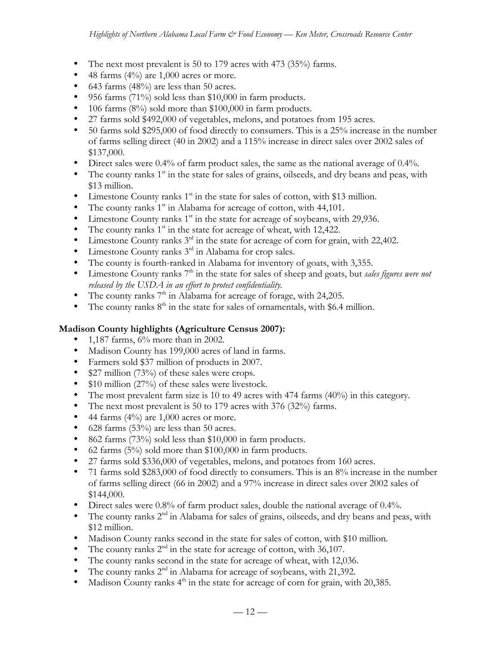- The next most prevalent is 50 to 179 acres with 473 (35%) farms.
- 48 farms  $(4\%)$  are 1,000 acres or more.
- 643 farms (48%) are less than 50 acres.
- 956 farms (71%) sold less than \$10,000 in farm products.
- 106 farms  $(8\%)$  sold more than \$100,000 in farm products.
- 27 farms sold \$492,000 of vegetables, melons, and potatoes from 195 acres.
- 50 farms sold \$295,000 of food directly to consumers. This is a 25% increase in the number of farms selling direct (40 in 2002) and a 115% increase in direct sales over 2002 sales of \$137,000.
- Direct sales were 0.4% of farm product sales, the same as the national average of 0.4%.
- The county ranks  $1<sup>st</sup>$  in the state for sales of grains, oilseeds, and dry beans and peas, with \$13 million.
- Limestone County ranks  $1<sup>st</sup>$  in the state for sales of cotton, with \$13 million.
- The county ranks  $1<sup>st</sup>$  in Alabama for acreage of cotton, with 44,101.
- Limestone County ranks  $1<sup>st</sup>$  in the state for acreage of soybeans, with 29,936.
- The county ranks  $1<sup>st</sup>$  in the state for acreage of wheat, with 12,422.
- $\bullet$  Limestone County ranks  $3<sup>rd</sup>$  in the state for acreage of corn for grain, with 22,402.
- Limestone County ranks  $3^{rd}$  in Alabama for crop sales.
- The county is fourth-ranked in Alabama for inventory of goats, with 3,355.
- Limestone County ranks 7<sup>th</sup> in the state for sales of sheep and goats, but *sales figures were not released by the USDA in an effort to protect confidentiality.*
- The county ranks  $7<sup>th</sup>$  in Alabama for acreage of forage, with 24,205.
- The county ranks  $8<sup>th</sup>$  in the state for sales of ornamentals, with \$6.4 million.

### **Madison County highlights (Agriculture Census 2007):**

- 1,187 farms,  $6\%$  more than in 2002.
- Madison County has 199,000 acres of land in farms.
- Farmers sold \$37 million of products in 2007.
- \$27 million (73%) of these sales were crops.
- \$10 million (27%) of these sales were livestock.
- The most prevalent farm size is 10 to 49 acres with 474 farms (40%) in this category.
- The next most prevalent is 50 to 179 acres with 376 (32%) farms.
- 44 farms  $(4\%)$  are 1,000 acres or more.
- 628 farms  $(53%)$  are less than 50 acres.
- 862 farms (73%) sold less than \$10,000 in farm products.
- 62 farms (5%) sold more than \$100,000 in farm products.
- 27 farms sold \$336,000 of vegetables, melons, and potatoes from 160 acres.
- 71 farms sold \$283,000 of food directly to consumers. This is an 8% increase in the number of farms selling direct (66 in 2002) and a 97% increase in direct sales over 2002 sales of \$144,000.
- Direct sales were 0.8% of farm product sales, double the national average of 0.4%.
- The county ranks  $2<sup>nd</sup>$  in Alabama for sales of grains, oilseeds, and dry beans and peas, with \$12 million.
- Madison County ranks second in the state for sales of cotton, with \$10 million.
- The county ranks  $2<sup>nd</sup>$  in the state for acreage of cotton, with 36,107.
- The county ranks second in the state for acreage of wheat, with 12,036.
- The county ranks  $2<sup>nd</sup>$  in Alabama for acreage of soybeans, with 21,392.
- Madison County ranks  $4<sup>th</sup>$  in the state for acreage of corn for grain, with 20,385.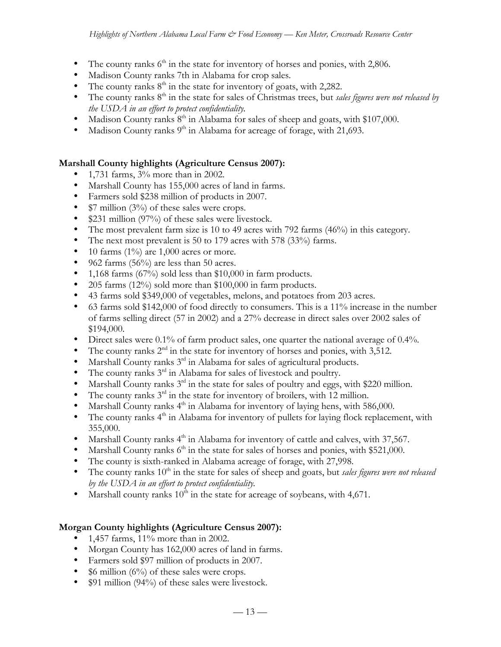- The county ranks  $6<sup>th</sup>$  in the state for inventory of horses and ponies, with 2,806.
- Madison County ranks 7th in Alabama for crop sales.
- The county ranks  $8<sup>th</sup>$  in the state for inventory of goats, with 2,282.
- The county ranks 8<sup>th</sup> in the state for sales of Christmas trees, but *sales figures were not released by the USDA in an effort to protect confidentiality.*
- Madison County ranks  $8<sup>th</sup>$  in Alabama for sales of sheep and goats, with \$107,000.
- Madison County ranks  $9<sup>th</sup>$  in Alabama for acreage of forage, with 21,693.

### **Marshall County highlights (Agriculture Census 2007):**

- 1,731 farms, 3% more than in 2002.
- Marshall County has 155,000 acres of land in farms.
- Farmers sold \$238 million of products in 2007.
- \$7 million (3%) of these sales were crops.
- \$231 million (97%) of these sales were livestock.
- The most prevalent farm size is 10 to 49 acres with 792 farms (46%) in this category.
- The next most prevalent is 50 to 179 acres with 578 (33%) farms.
- 10 farms  $(1\%)$  are 1,000 acres or more.
- 962 farms (56%) are less than 50 acres.
- 1,168 farms (67%) sold less than \$10,000 in farm products.
- 205 farms  $(12\%)$  sold more than \$100,000 in farm products.
- 43 farms sold \$349,000 of vegetables, melons, and potatoes from 203 acres.
- 63 farms sold \$142,000 of food directly to consumers. This is a 11% increase in the number of farms selling direct (57 in 2002) and a 27% decrease in direct sales over 2002 sales of \$194,000.
- Direct sales were 0.1% of farm product sales, one quarter the national average of 0.4%.
- The county ranks  $2<sup>nd</sup>$  in the state for inventory of horses and ponies, with 3,512.
- Marshall County ranks 3<sup>rd</sup> in Alabama for sales of agricultural products.
- The county ranks  $3<sup>rd</sup>$  in Alabama for sales of livestock and poultry.
- Marshall County ranks  $3<sup>rd</sup>$  in the state for sales of poultry and eggs, with \$220 million.
- The county ranks  $3<sup>rd</sup>$  in the state for inventory of broilers, with 12 million.
- Marshall County ranks  $4<sup>th</sup>$  in Alabama for inventory of laying hens, with 586,000.
- The county ranks  $4<sup>th</sup>$  in Alabama for inventory of pullets for laying flock replacement, with 355,000.
- Marshall County ranks  $4<sup>th</sup>$  in Alabama for inventory of cattle and calves, with 37,567.
- Marshall County ranks  $6<sup>th</sup>$  in the state for sales of horses and ponies, with \$521,000.
- The county is sixth-ranked in Alabama acreage of forage, with 27,998.
- The county ranks  $10<sup>th</sup>$  in the state for sales of sheep and goats, but *sales figures were not released by the USDA in an effort to protect confidentiality.*
- Marshall county ranks  $10^{\overline{h}}$  in the state for acreage of soybeans, with 4,671.

# **Morgan County highlights (Agriculture Census 2007):**

- 1,457 farms, 11% more than in 2002.
- Morgan County has 162,000 acres of land in farms.
- Farmers sold \$97 million of products in 2007.
- \$6 million  $(6\%)$  of these sales were crops.
- \$91 million (94%) of these sales were livestock.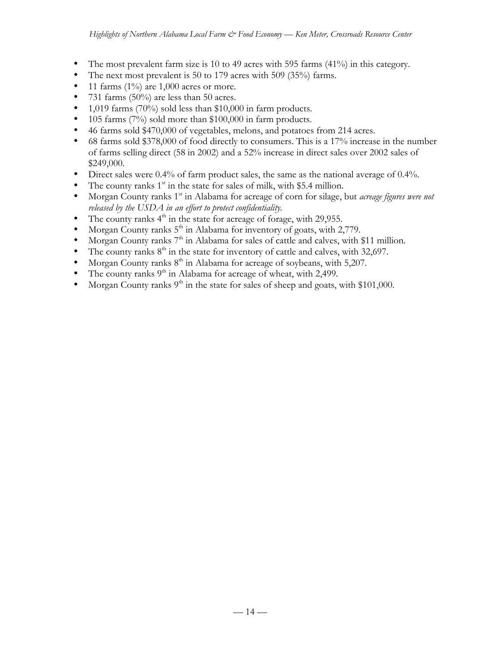- The most prevalent farm size is 10 to 49 acres with 595 farms  $(41\%)$  in this category.
- The next most prevalent is 50 to 179 acres with 509 (35%) farms.
- 11 farms  $(1\%)$  are 1,000 acres or more.
- 731 farms (50%) are less than 50 acres.
- 1,019 farms  $(70\%)$  sold less than \$10,000 in farm products.
- 105 farms (7%) sold more than \$100,000 in farm products.
- 46 farms sold \$470,000 of vegetables, melons, and potatoes from 214 acres.
- 68 farms sold \$378,000 of food directly to consumers. This is a 17% increase in the number of farms selling direct (58 in 2002) and a 52% increase in direct sales over 2002 sales of \$249,000.
- Direct sales were 0.4% of farm product sales, the same as the national average of 0.4%.
- The county ranks  $1<sup>st</sup>$  in the state for sales of milk, with \$5.4 million.
- Morgan County ranks 1<sup>st</sup> in Alabama for acreage of corn for silage, but *acreage figures were not released by the USDA in an effort to protect confidentiality.*
- The county ranks  $4<sup>th</sup>$  in the state for acreage of forage, with 29,955.
- Morgan County ranks  $5<sup>th</sup>$  in Alabama for inventory of goats, with 2,779.
- Morgan County ranks 7<sup>th</sup> in Alabama for sales of cattle and calves, with \$11 million.
- The county ranks  $8<sup>th</sup>$  in the state for inventory of cattle and calves, with 32,697.
- Morgan County ranks  $8<sup>th</sup>$  in Alabama for acreage of soybeans, with 5,207.
- The county ranks  $9<sup>th</sup>$  in Alabama for acreage of wheat, with 2,499.
- Morgan County ranks  $9<sup>th</sup>$  in the state for sales of sheep and goats, with \$101,000.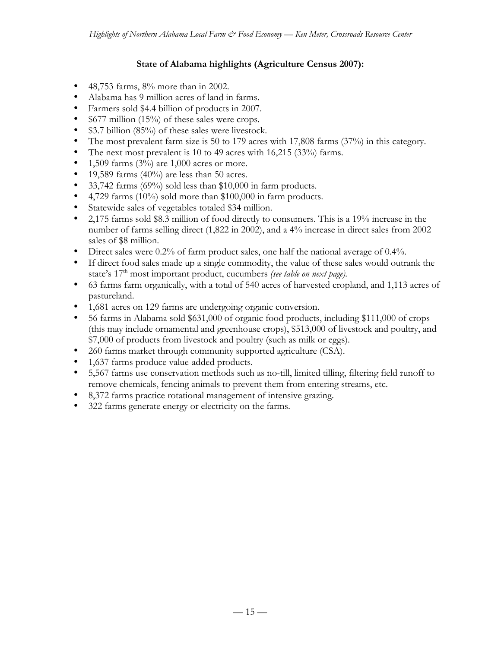# **State of Alabama highlights (Agriculture Census 2007):**

- 48,753 farms, 8% more than in 2002.
- Alabama has 9 million acres of land in farms.
- Farmers sold \$4.4 billion of products in 2007.
- \$677 million (15%) of these sales were crops.
- \$3.7 billion (85%) of these sales were livestock.
- The most prevalent farm size is 50 to 179 acres with 17,808 farms (37%) in this category.
- The next most prevalent is 10 to 49 acres with 16,215 (33%) farms.
- 1,509 farms  $(3%)$  are 1,000 acres or more.
- 19,589 farms  $(40\%)$  are less than 50 acres.
- 33,742 farms (69%) sold less than \$10,000 in farm products.
- 4,729 farms (10%) sold more than \$100,000 in farm products.
- Statewide sales of vegetables totaled \$34 million.
- 2,175 farms sold \$8.3 million of food directly to consumers. This is a 19% increase in the number of farms selling direct (1,822 in 2002), and a 4% increase in direct sales from 2002 sales of \$8 million.
- Direct sales were 0.2% of farm product sales, one half the national average of 0.4%.
- If direct food sales made up a single commodity, the value of these sales would outrank the state's 17<sup>th</sup> most important product, cucumbers *(see table on next page)*.
- 63 farms farm organically, with a total of 540 acres of harvested cropland, and 1,113 acres of pastureland.
- 1,681 acres on 129 farms are undergoing organic conversion.
- 56 farms in Alabama sold \$631,000 of organic food products, including \$111,000 of crops (this may include ornamental and greenhouse crops), \$513,000 of livestock and poultry, and \$7,000 of products from livestock and poultry (such as milk or eggs).
- 260 farms market through community supported agriculture (CSA).
- 1,637 farms produce value-added products.
- 5,567 farms use conservation methods such as no-till, limited tilling, filtering field runoff to remove chemicals, fencing animals to prevent them from entering streams, etc.
- 8,372 farms practice rotational management of intensive grazing.
- 322 farms generate energy or electricity on the farms.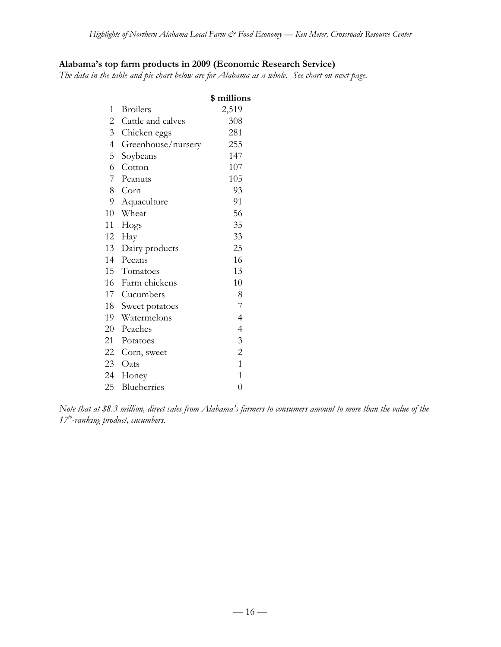# **Alabama's top farm products in 2009 (Economic Research Service)**

*The data in the table and pie chart below are for Alabama as a whole. See chart on next page.*

|                          |                    | \$ millions    |
|--------------------------|--------------------|----------------|
| 1                        | <b>Broilers</b>    | 2,519          |
| 2                        | Cattle and calves  | 308            |
| $\mathfrak{Z}$           | Chicken eggs       | 281            |
| $\overline{\mathcal{A}}$ | Greenhouse/nursery | 255            |
| 5                        | Soybeans           | 147            |
| 6                        | Cotton             | 107            |
| 7                        | Peanuts            | 105            |
| 8                        | Corn               | 93             |
| 9                        | Aquaculture        | 91             |
| 10                       | Wheat              | 56             |
| 11                       | Hogs               | 35             |
| 12                       | Hay                | 33             |
| 13                       | Dairy products     | 25             |
| 14                       | Pecans             | 16             |
| 15                       | Tomatoes           | 13             |
| 16                       | Farm chickens      | 10             |
| 17                       | Cucumbers          | 8              |
| 18                       | Sweet potatoes     | 7              |
| 19                       | Watermelons        | $\overline{4}$ |
| 20                       | Peaches            | $\overline{4}$ |
| 21                       | Potatoes           | 3              |
| 22                       | Corn, sweet        | $\overline{c}$ |
|                          | 23 Oats            | $\mathbf{1}$   |
| 24                       | Honey              | $\overline{1}$ |
| 25                       | Blueberries        | $\overline{0}$ |
|                          |                    |                |

*Note that at \$8.3 million, direct sales from Alabama's farmers to consumers amount to more than the value of the 17th-ranking product, cucumbers.*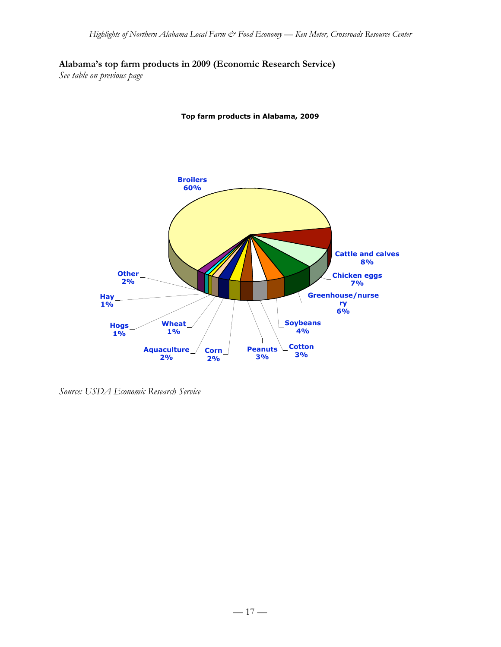**Alabama's top farm products in 2009 (Economic Research Service)**

*See table on previous page*





*Source: USDA Economic Research Service*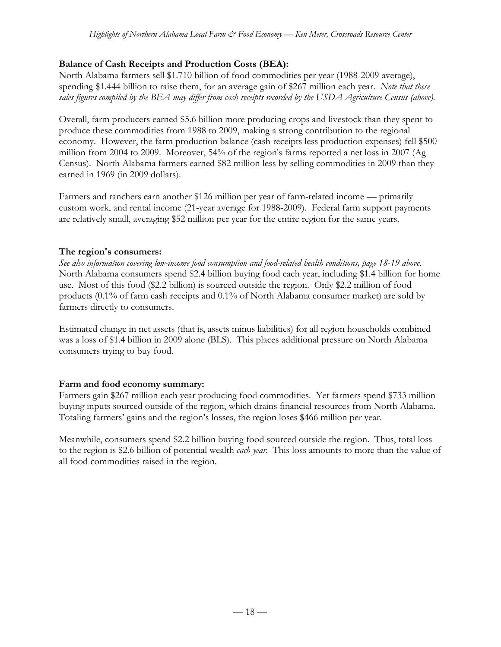# **Balance of Cash Receipts and Production Costs (BEA):**

North Alabama farmers sell \$1.710 billion of food commodities per year (1988-2009 average), spending \$1.444 billion to raise them, for an average gain of \$267 million each year. *Note that these sales figures compiled by the BEA may differ from cash receipts recorded by the USDA Agriculture Census (above).*

Overall, farm producers earned \$5.6 billion more producing crops and livestock than they spent to produce these commodities from 1988 to 2009, making a strong contribution to the regional economy. However, the farm production balance (cash receipts less production expenses) fell \$500 million from 2004 to 2009. Moreover, 54% of the region's farms reported a net loss in 2007 (Ag Census). North Alabama farmers earned \$82 million less by selling commodities in 2009 than they earned in 1969 (in 2009 dollars).

Farmers and ranchers earn another \$126 million per year of farm-related income — primarily custom work, and rental income (21-year average for 1988-2009). Federal farm support payments are relatively small, averaging \$52 million per year for the entire region for the same years.

# **The region's consumers:**

*See also information covering low-income food consumption and food-related health conditions, page 18-19 above.* North Alabama consumers spend \$2.4 billion buying food each year, including \$1.4 billion for home use. Most of this food (\$2.2 billion) is sourced outside the region. Only \$2.2 million of food products (0.1% of farm cash receipts and 0.1% of North Alabama consumer market) are sold by farmers directly to consumers.

Estimated change in net assets (that is, assets minus liabilities) for all region households combined was a loss of \$1.4 billion in 2009 alone (BLS). This places additional pressure on North Alabama consumers trying to buy food.

# **Farm and food economy summary:**

Farmers gain \$267 million each year producing food commodities. Yet farmers spend \$733 million buying inputs sourced outside of the region, which drains financial resources from North Alabama. Totaling farmers' gains and the region's losses, the region loses \$466 million per year.

Meanwhile, consumers spend \$2.2 billion buying food sourced outside the region. Thus, total loss to the region is \$2.6 billion of potential wealth *each year*. This loss amounts to more than the value of all food commodities raised in the region.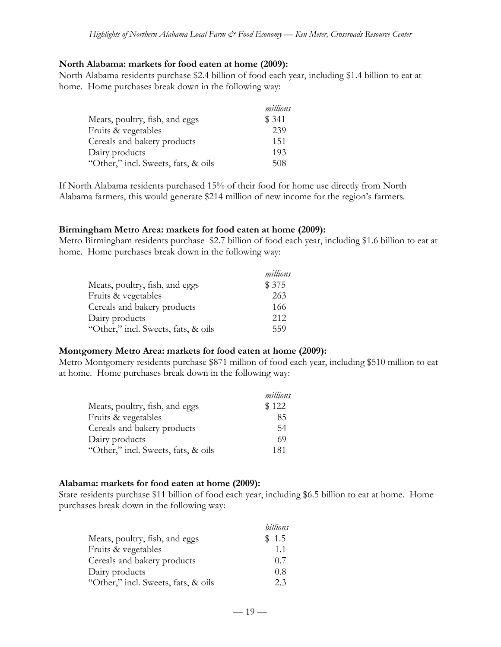#### **North Alabama: markets for food eaten at home (2009):**

North Alabama residents purchase \$2.4 billion of food each year, including \$1.4 billion to eat at home. Home purchases break down in the following way:

|                                     | millions |
|-------------------------------------|----------|
| Meats, poultry, fish, and eggs      | \$ 341   |
| Fruits & vegetables                 | 239      |
| Cereals and bakery products         | 151      |
| Dairy products                      | 193      |
| "Other," incl. Sweets, fats, & oils | 508      |

If North Alabama residents purchased 15% of their food for home use directly from North Alabama farmers, this would generate \$214 million of new income for the region's farmers.

#### **Birmingham Metro Area: markets for food eaten at home (2009):**

Metro Birmingham residents purchase \$2.7 billion of food each year, including \$1.6 billion to eat at home. Home purchases break down in the following way:

|                                     | millions |
|-------------------------------------|----------|
| Meats, poultry, fish, and eggs      | \$375    |
| Fruits & vegetables                 | 263      |
| Cereals and bakery products         | 166      |
| Dairy products                      | 212      |
| "Other," incl. Sweets, fats, & oils | 559      |

#### **Montgomery Metro Area: markets for food eaten at home (2009):**

Metro Montgomery residents purchase \$871 million of food each year, including \$510 million to eat at home. Home purchases break down in the following way:

|                                     | millions |
|-------------------------------------|----------|
| Meats, poultry, fish, and eggs      | \$122    |
| Fruits & vegetables                 | 85       |
| Cereals and bakery products         | 54       |
| Dairy products                      | 69       |
| "Other," incl. Sweets, fats, & oils | 181      |

#### **Alabama: markets for food eaten at home (2009):**

State residents purchase \$11 billion of food each year, including \$6.5 billion to eat at home. Home purchases break down in the following way:

|                                     | billions |
|-------------------------------------|----------|
| Meats, poultry, fish, and eggs      | \$1.5    |
| Fruits & vegetables                 | 11       |
| Cereals and bakery products         | 0.7      |
| Dairy products                      | 0.8      |
| "Other," incl. Sweets, fats, & oils | 23       |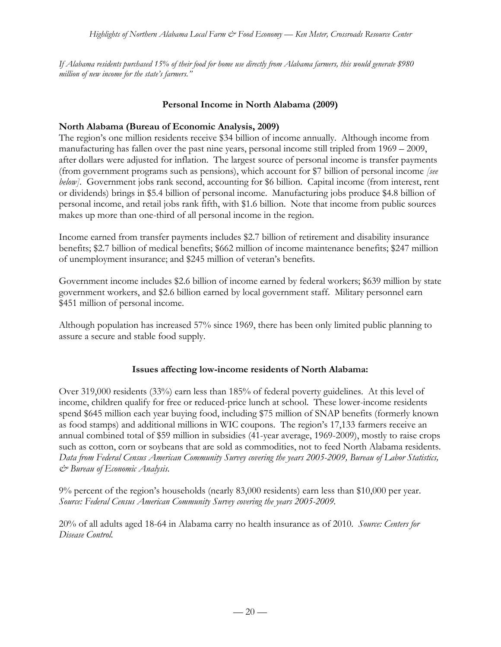*If Alabama residents purchased 15% of their food for home use directly from Alabama farmers, this would generate \$980 million of new income for the state's farmers."*

#### **Personal Income in North Alabama (2009)**

#### **North Alabama (Bureau of Economic Analysis, 2009)**

The region's one million residents receive \$34 billion of income annually. Although income from manufacturing has fallen over the past nine years, personal income still tripled from 1969 – 2009, after dollars were adjusted for inflation. The largest source of personal income is transfer payments (from government programs such as pensions), which account for \$7 billion of personal income *[see below]*. Government jobs rank second, accounting for \$6 billion. Capital income (from interest, rent or dividends) brings in \$5.4 billion of personal income. Manufacturing jobs produce \$4.8 billion of personal income, and retail jobs rank fifth, with \$1.6 billion. Note that income from public sources makes up more than one-third of all personal income in the region.

Income earned from transfer payments includes \$2.7 billion of retirement and disability insurance benefits; \$2.7 billion of medical benefits; \$662 million of income maintenance benefits; \$247 million of unemployment insurance; and \$245 million of veteran's benefits.

Government income includes \$2.6 billion of income earned by federal workers; \$639 million by state government workers, and \$2.6 billion earned by local government staff. Military personnel earn \$451 million of personal income.

Although population has increased 57% since 1969, there has been only limited public planning to assure a secure and stable food supply.

#### **Issues affecting low-income residents of North Alabama:**

Over 319,000 residents (33%) earn less than 185% of federal poverty guidelines. At this level of income, children qualify for free or reduced-price lunch at school. These lower-income residents spend \$645 million each year buying food, including \$75 million of SNAP benefits (formerly known as food stamps) and additional millions in WIC coupons. The region's 17,133 farmers receive an annual combined total of \$59 million in subsidies (41-year average, 1969-2009), mostly to raise crops such as cotton, corn or soybeans that are sold as commodities, not to feed North Alabama residents. *Data from Federal Census American Community Survey covering the years 2005-2009, Bureau of Labor Statistics, & Bureau of Economic Analysis.*

9% percent of the region's households (nearly 83,000 residents) earn less than \$10,000 per year. *Source: Federal Census American Community Survey covering the years 2005-2009.*

20% of all adults aged 18-64 in Alabama carry no health insurance as of 2010. *Source: Centers for Disease Control.*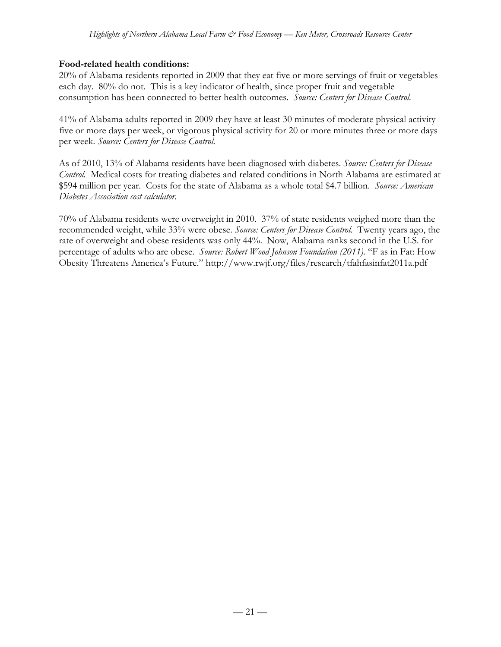### **Food-related health conditions:**

20% of Alabama residents reported in 2009 that they eat five or more servings of fruit or vegetables each day. 80% do not. This is a key indicator of health, since proper fruit and vegetable consumption has been connected to better health outcomes. *Source: Centers for Disease Control.*

41% of Alabama adults reported in 2009 they have at least 30 minutes of moderate physical activity five or more days per week, or vigorous physical activity for 20 or more minutes three or more days per week. *Source: Centers for Disease Control.*

As of 2010, 13% of Alabama residents have been diagnosed with diabetes. *Source: Centers for Disease Control.* Medical costs for treating diabetes and related conditions in North Alabama are estimated at \$594 million per year. Costs for the state of Alabama as a whole total \$4.7 billion. *Source: American Diabetes Association cost calculator.*

70% of Alabama residents were overweight in 2010. 37% of state residents weighed more than the recommended weight, while 33% were obese. *Source: Centers for Disease Control.* Twenty years ago, the rate of overweight and obese residents was only 44%. Now, Alabama ranks second in the U.S. for percentage of adults who are obese. *Source: Robert Wood Johnson Foundation (2011).* "F as in Fat: How Obesity Threatens America's Future." http://www.rwjf.org/files/research/tfahfasinfat2011a.pdf